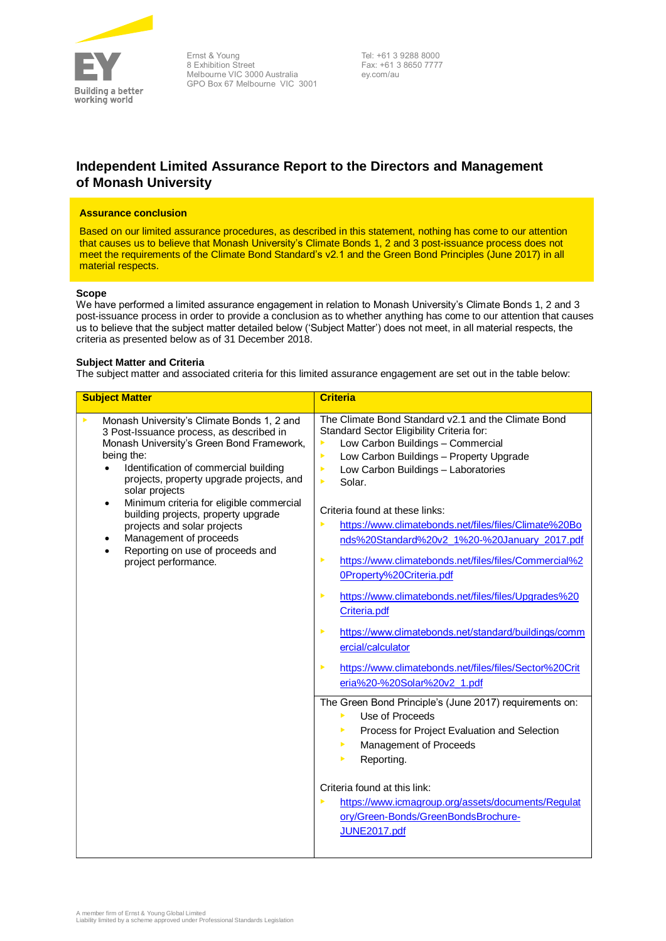

Ernst & Young 8 Exhibition Street Melbourne VIC 3000 Australia GPO Box 67 Melbourne VIC 3001

Tel: +61 3 9288 8000 Fax: +61 3 8650 7777 ey.com/au

# **Independent Limited Assurance Report to the Directors and Management of Monash University**

# **Assurance conclusion**

Based on our limited assurance procedures, as described in this statement, nothing has come to our attention that causes us to believe that Monash University's Climate Bonds 1, 2 and 3 post-issuance process does not meet the requirements of the Climate Bond Standard's v2.1 and the Green Bond Principles (June 2017) in all material respects.

# **Scope**

We have performed a limited assurance engagement in relation to Monash University's Climate Bonds 1, 2 and 3 post-issuance process in order to provide a conclusion as to whether anything has come to our attention that causes us to believe that the subject matter detailed below ('Subject Matter') does not meet, in all material respects, the criteria as presented below as of 31 December 2018.

# **Subject Matter and Criteria**

The subject matter and associated criteria for this limited assurance engagement are set out in the table below:

| <b>Subject Matter</b>                                                                                                                                                                                                                                                                                                                                                                                                                                                                                             | <b>Criteria</b>                                                                                                                                                                                                                                                                                                                                                                                                                                                                                                                                                                                                                                                                                                                                                                                                                                                                                                                                                                                                                                                                                          |
|-------------------------------------------------------------------------------------------------------------------------------------------------------------------------------------------------------------------------------------------------------------------------------------------------------------------------------------------------------------------------------------------------------------------------------------------------------------------------------------------------------------------|----------------------------------------------------------------------------------------------------------------------------------------------------------------------------------------------------------------------------------------------------------------------------------------------------------------------------------------------------------------------------------------------------------------------------------------------------------------------------------------------------------------------------------------------------------------------------------------------------------------------------------------------------------------------------------------------------------------------------------------------------------------------------------------------------------------------------------------------------------------------------------------------------------------------------------------------------------------------------------------------------------------------------------------------------------------------------------------------------------|
| Monash University's Climate Bonds 1, 2 and<br>▶<br>3 Post-Issuance process, as described in<br>Monash University's Green Bond Framework,<br>being the:<br>Identification of commercial building<br>$\bullet$<br>projects, property upgrade projects, and<br>solar projects<br>Minimum criteria for eligible commercial<br>$\bullet$<br>building projects, property upgrade<br>projects and solar projects<br>Management of proceeds<br>٠<br>Reporting on use of proceeds and<br>$\bullet$<br>project performance. | The Climate Bond Standard v2.1 and the Climate Bond<br>Standard Sector Eligibility Criteria for:<br>Þ<br>Low Carbon Buildings - Commercial<br>Low Carbon Buildings - Property Upgrade<br>K<br>Low Carbon Buildings - Laboratories<br>K<br>Solar.<br>K<br>Criteria found at these links:<br>ь<br>https://www.climatebonds.net/files/files/Climate%20Bo<br>nds%20Standard%20v2_1%20-%20January_2017.pdf<br>https://www.climatebonds.net/files/files/Commercial%2<br>Þ<br>0Property%20Criteria.pdf<br>https://www.climatebonds.net/files/files/Upgrades%20<br>Þ<br>Criteria.pdf<br>https://www.climatebonds.net/standard/buildings/comm<br>ь<br>ercial/calculator<br>https://www.climatebonds.net/files/files/Sector%20Crit<br>Þ<br>eria%20-%20Solar%20v2_1.pdf<br>The Green Bond Principle's (June 2017) requirements on:<br>Use of Proceeds<br>ь<br>Process for Project Evaluation and Selection<br>▶<br>Management of Proceeds<br>▶<br>Reporting.<br>ь<br>Criteria found at this link:<br>https://www.icmagroup.org/assets/documents/Regulat<br>ь<br>ory/Green-Bonds/GreenBondsBrochure-<br>JUNE2017.pdf |
|                                                                                                                                                                                                                                                                                                                                                                                                                                                                                                                   |                                                                                                                                                                                                                                                                                                                                                                                                                                                                                                                                                                                                                                                                                                                                                                                                                                                                                                                                                                                                                                                                                                          |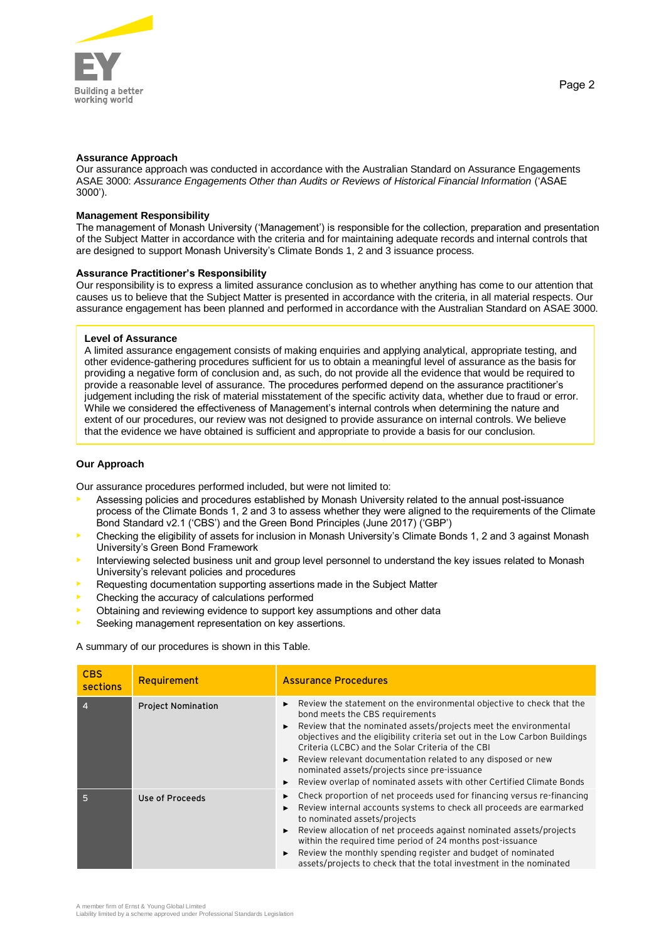

# **Assurance Approach**

Our assurance approach was conducted in accordance with the Australian Standard on Assurance Engagements ASAE 3000: *Assurance Engagements Other than Audits or Reviews of Historical Financial Information* ('ASAE 3000').

#### **Management Responsibility**

The management of Monash University ('Management') is responsible for the collection, preparation and presentation of the Subject Matter in accordance with the criteria and for maintaining adequate records and internal controls that are designed to support Monash University's Climate Bonds 1, 2 and 3 issuance process.

## **Assurance Practitioner's Responsibility**

Our responsibility is to express a limited assurance conclusion as to whether anything has come to our attention that causes us to believe that the Subject Matter is presented in accordance with the criteria, in all material respects. Our assurance engagement has been planned and performed in accordance with the Australian Standard on ASAE 3000.

#### **Level of Assurance**

A limited assurance engagement consists of making enquiries and applying analytical, appropriate testing, and other evidence-gathering procedures sufficient for us to obtain a meaningful level of assurance as the basis for providing a negative form of conclusion and, as such, do not provide all the evidence that would be required to provide a reasonable level of assurance. The procedures performed depend on the assurance practitioner's judgement including the risk of material misstatement of the specific activity data, whether due to fraud or error. While we considered the effectiveness of Management's internal controls when determining the nature and extent of our procedures, our review was not designed to provide assurance on internal controls. We believe that the evidence we have obtained is sufficient and appropriate to provide a basis for our conclusion.

## **Our Approach**

Our assurance procedures performed included, but were not limited to:

- Assessing policies and procedures established by Monash University related to the annual post-issuance process of the Climate Bonds 1, 2 and 3 to assess whether they were aligned to the requirements of the Climate Bond Standard v2.1 ('CBS') and the Green Bond Principles (June 2017) ('GBP')
- Checking the eligibility of assets for inclusion in Monash University's Climate Bonds 1, 2 and 3 against Monash University's Green Bond Framework
- Interviewing selected business unit and group level personnel to understand the key issues related to Monash University's relevant policies and procedures
- Requesting documentation supporting assertions made in the Subject Matter
- Checking the accuracy of calculations performed
- Obtaining and reviewing evidence to support key assumptions and other data
- Seeking management representation on key assertions.

A summary of our procedures is shown in this Table.

| <b>CBS</b><br>sections | <b>Requirement</b>        | <b>Assurance Procedures</b>                                                                                                                                                                                                                                                                                                                                                                                                                                                                               |
|------------------------|---------------------------|-----------------------------------------------------------------------------------------------------------------------------------------------------------------------------------------------------------------------------------------------------------------------------------------------------------------------------------------------------------------------------------------------------------------------------------------------------------------------------------------------------------|
| $\overline{A}$         | <b>Project Nomination</b> | Review the statement on the environmental objective to check that the<br>bond meets the CBS requirements<br>Review that the nominated assets/projects meet the environmental<br>objectives and the eligibility criteria set out in the Low Carbon Buildings<br>Criteria (LCBC) and the Solar Criteria of the CBI<br>Review relevant documentation related to any disposed or new<br>nominated assets/projects since pre-issuance<br>Review overlap of nominated assets with other Certified Climate Bonds |
| 5                      | Use of Proceeds           | Check proportion of net proceeds used for financing versus re-financing<br>Review internal accounts systems to check all proceeds are earmarked<br>to nominated assets/projects<br>Review allocation of net proceeds against nominated assets/projects<br>within the required time period of 24 months post-issuance<br>Review the monthly spending register and budget of nominated<br>assets/projects to check that the total investment in the nominated                                               |